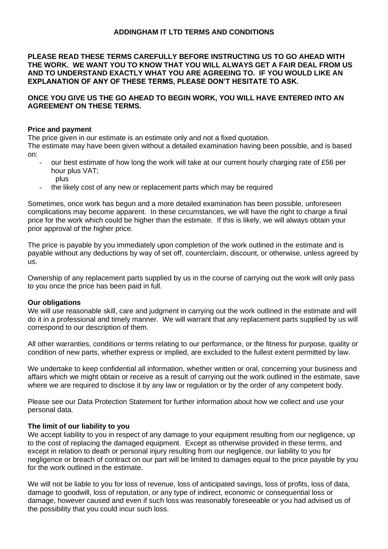# **ADDINGHAM IT LTD TERMS AND CONDITIONS**

**PLEASE READ THESE TERMS CAREFULLY BEFORE INSTRUCTING US TO GO AHEAD WITH THE WORK. WE WANT YOU TO KNOW THAT YOU WILL ALWAYS GET A FAIR DEAL FROM US AND TO UNDERSTAND EXACTLY WHAT YOU ARE AGREEING TO. IF YOU WOULD LIKE AN EXPLANATION OF ANY OF THESE TERMS, PLEASE DON'T HESITATE TO ASK.**

## **ONCE YOU GIVE US THE GO AHEAD TO BEGIN WORK, YOU WILL HAVE ENTERED INTO AN AGREEMENT ON THESE TERMS.**

#### **Price and payment**

The price given in our estimate is an estimate only and not a fixed quotation.

The estimate may have been given without a detailed examination having been possible, and is based on:

- our best estimate of how long the work will take at our current hourly charging rate of £56 per hour plus VAT; plus
- the likely cost of any new or replacement parts which may be required

Sometimes, once work has begun and a more detailed examination has been possible, unforeseen complications may become apparent. In these circumstances, we will have the right to charge a final price for the work which could be higher than the estimate. If this is likely, we will always obtain your prior approval of the higher price.

The price is payable by you immediately upon completion of the work outlined in the estimate and is payable without any deductions by way of set off, counterclaim, discount, or otherwise, unless agreed by us.

Ownership of any replacement parts supplied by us in the course of carrying out the work will only pass to you once the price has been paid in full.

## **Our obligations**

We will use reasonable skill, care and judgment in carrying out the work outlined in the estimate and will do it in a professional and timely manner. We will warrant that any replacement parts supplied by us will correspond to our description of them.

All other warranties, conditions or terms relating to our performance, or the fitness for purpose, quality or condition of new parts, whether express or implied, are excluded to the fullest extent permitted by law.

We undertake to keep confidential all information, whether written or oral, concerning your business and affairs which we might obtain or receive as a result of carrying out the work outlined in the estimate, save where we are required to disclose it by any law or regulation or by the order of any competent body.

Please see our Data Protection Statement for further information about how we collect and use your personal data.

#### **The limit of our liability to you**

We accept liability to you in respect of any damage to your equipment resulting from our negligence, up to the cost of replacing the damaged equipment. Except as otherwise provided in these terms, and except in relation to death or personal injury resulting from our negligence, our liability to you for negligence or breach of contract on our part will be limited to damages equal to the price payable by you for the work outlined in the estimate.

We will not be liable to you for loss of revenue, loss of anticipated savings, loss of profits, loss of data, damage to goodwill, loss of reputation, or any type of indirect, economic or consequential loss or damage, however caused and even if such loss was reasonably foreseeable or you had advised us of the possibility that you could incur such loss.